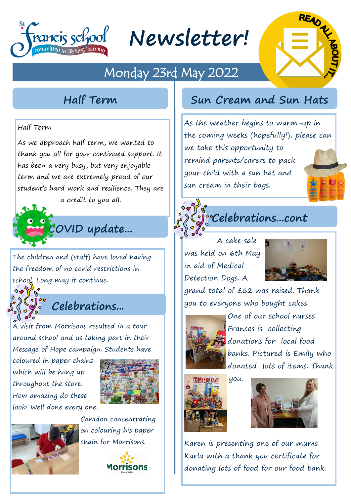

**Newsletter!**

## Monday 23rd May 2022



#### Half Term

As we approach half term, we wanted to thank you all for your continued support. It has been a very busy, but very enjoyable term and we are extremely proud of our student's hard work and resilience. They are



The children and (staff) have loved having the freedom of no covid restrictions in school. Long may it continue.

### **Celebrations...**

A visit from Morrisons resulted in a tour around school and us taking part in their Message of Hope campaign. Students have

coloured in paper chains which will be hung up throughout the store. How amazing do these look! Well done every one.





Camdon concentrating on colouring his paper chain for Morrisons.



#### **Half Term Sun Cream and Sun Hats**

As the weather begins to warm-up in the coming weeks (hopefully!), please can we take this opportunity to remind parents/carers to pack your child with a sun hat and sun cream in their bags.



**Celebrations...cont**

A cake sale was held on 6th May in aid of Medical Detection Dogs. A



grand total of £62 was raised. Thank you to everyone who bought cakes.



One of our school nurses Frances is collecting donations for local food banks. Pictured is Emily who donated lots of items. Thank





Karen is presenting one of our mums Karla with a thank you certificate for donating lots of food for our food bank.